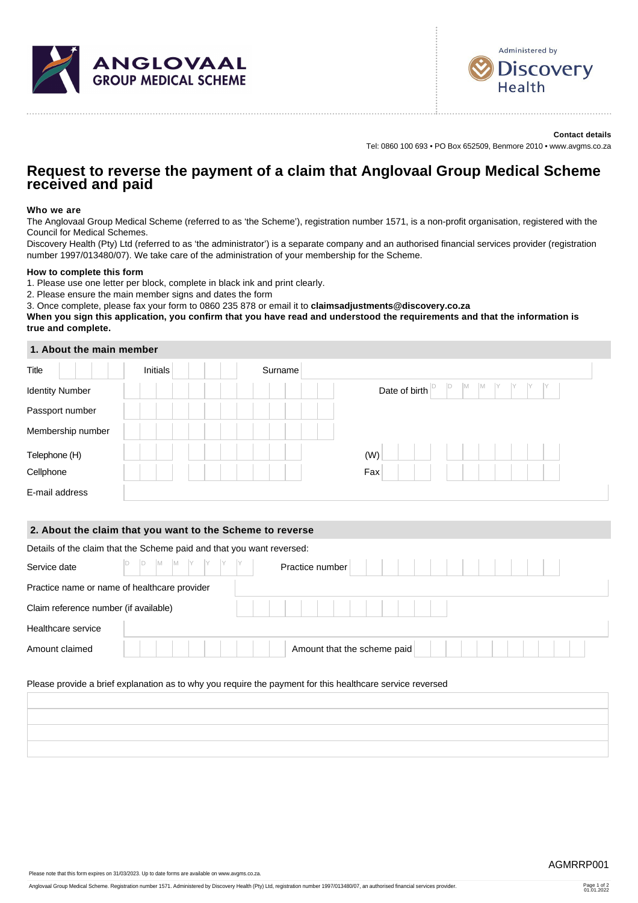



**Contact details** Tel: 0860 100 693 • PO Box 652509, Benmore 2010 • www.avgms.co.za

# **Request to reverse the payment of a claim that Anglovaal Group Medical Scheme received and paid**

## **Who we are**

The Anglovaal Group Medical Scheme (referred to as 'the Scheme'), registration number 1571, is a non-profit organisation, registered with the Council for Medical Schemes.

Discovery Health (Pty) Ltd (referred to as 'the administrator') is a separate company and an authorised financial services provider (registration number 1997/013480/07). We take care of the administration of your membership for the Scheme.

## **How to complete this form**

1. Please use one letter per block, complete in black ink and print clearly.

2. Please ensure the main member signs and dates the form

3. Once complete, please fax your form to 0860 235 878 or email it to **claimsadjustments@discovery.co.za**

**When you sign this application, you confirm that you have read and understood the requirements and that the information is true and complete.**

## **1. About the main member**

| Title                  | Initials | Surname |                                                          |
|------------------------|----------|---------|----------------------------------------------------------|
| <b>Identity Number</b> |          |         | ID<br>M<br>M<br>IY<br>Date of birth $\vert$ <sup>[</sup> |
| Passport number        |          |         |                                                          |
| Membership number      |          |         |                                                          |
| Telephone (H)          |          |         | (W)                                                      |
| Cellphone              |          |         | Fax                                                      |
| E-mail address         |          |         |                                                          |

#### **2. About the claim that you want to the Scheme to reverse**

| Details of the claim that the Scheme paid and that you want reversed: |  |                             |  |  |  |  |  |  |
|-----------------------------------------------------------------------|--|-----------------------------|--|--|--|--|--|--|
| Service date                                                          |  | Practice number             |  |  |  |  |  |  |
| Practice name or name of healthcare provider                          |  |                             |  |  |  |  |  |  |
| Claim reference number (if available)                                 |  |                             |  |  |  |  |  |  |
| Healthcare service                                                    |  |                             |  |  |  |  |  |  |
| Amount claimed                                                        |  | Amount that the scheme paid |  |  |  |  |  |  |

## Please provide a brief explanation as to why you require the payment for this healthcare service reversed